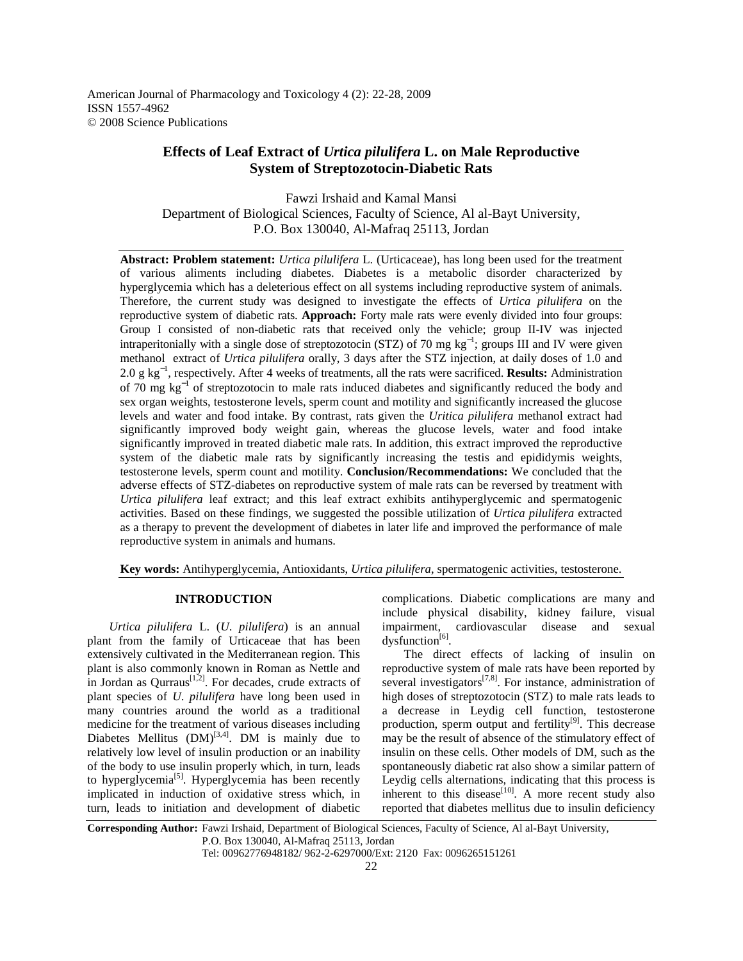American Journal of Pharmacology and Toxicology 4 (2): 22-28, 2009 ISSN 1557-4962 © 2008 Science Publications

# **Effects of Leaf Extract of** *Urtica pilulifera* **L. on Male Reproductive System of Streptozotocin-Diabetic Rats**

Fawzi Irshaid and Kamal Mansi Department of Biological Sciences, Faculty of Science, Al al-Bayt University, P.O. Box 130040, Al-Mafraq 25113, Jordan

**Abstract: Problem statement:** *Urtica pilulifera* L. (Urticaceae), has long been used for the treatment of various aliments including diabetes. Diabetes is a metabolic disorder characterized by hyperglycemia which has a deleterious effect on all systems including reproductive system of animals. Therefore, the current study was designed to investigate the effects of *Urtica pilulifera* on the reproductive system of diabetic rats. **Approach:** Forty male rats were evenly divided into four groups: Group I consisted of non-diabetic rats that received only the vehicle; group II-IV was injected intraperitonially with a single dose of streptozotocin (STZ) of 70 mg  $kg^{-1}$ ; groups III and IV were given methanol extract of *Urtica pilulifera* orally, 3 days after the STZ injection, at daily doses of 1.0 and 2.0 g kg<sup>−</sup><sup>1</sup> , respectively. After 4 weeks of treatments, all the rats were sacrificed. **Results:** Administration of 70 mg kg<sup>-1</sup> of streptozotocin to male rats induced diabetes and significantly reduced the body and sex organ weights, testosterone levels, sperm count and motility and significantly increased the glucose levels and water and food intake. By contrast, rats given the *Uritica pilulifera* methanol extract had significantly improved body weight gain, whereas the glucose levels, water and food intake significantly improved in treated diabetic male rats. In addition, this extract improved the reproductive system of the diabetic male rats by significantly increasing the testis and epididymis weights, testosterone levels, sperm count and motility. **Conclusion/Recommendations:** We concluded that the adverse effects of STZ-diabetes on reproductive system of male rats can be reversed by treatment with *Urtica pilulifera* leaf extract; and this leaf extract exhibits antihyperglycemic and spermatogenic activities. Based on these findings, we suggested the possible utilization of *Urtica pilulifera* extracted as a therapy to prevent the development of diabetes in later life and improved the performance of male reproductive system in animals and humans.

**Key words:** Antihyperglycemia, Antioxidants, *Urtica pilulifera*, spermatogenic activities, testosterone.

## **INTRODUCTION**

 *Urtica pilulifera* L. (*U*. *pilulifera*) is an annual plant from the family of Urticaceae that has been extensively cultivated in the Mediterranean region. This plant is also commonly known in Roman as Nettle and in Jordan as Ourraus<sup>[1,2]</sup>. For decades, crude extracts of plant species of *U*. *pilulifera* have long been used in many countries around the world as a traditional medicine for the treatment of various diseases including Diabetes Mellitus  $(DM)^{[3,4]}$ . DM is mainly due to relatively low level of insulin production or an inability of the body to use insulin properly which, in turn, leads to hyperglycemia<sup>[5]</sup>. Hyperglycemia has been recently implicated in induction of oxidative stress which, in turn, leads to initiation and development of diabetic

complications. Diabetic complications are many and include physical disability, kidney failure, visual impairment, cardiovascular disease and sexual  $dy$ sfunction<sup>[6]</sup>.

 The direct effects of lacking of insulin on reproductive system of male rats have been reported by several investigators<sup>[7,8]</sup>. For instance, administration of high doses of streptozotocin (STZ) to male rats leads to a decrease in Leydig cell function, testosterone production, sperm output and fertility $[9]$ . This decrease may be the result of absence of the stimulatory effect of insulin on these cells. Other models of DM, such as the spontaneously diabetic rat also show a similar pattern of Leydig cells alternations, indicating that this process is inherent to this disease $[10]$ . A more recent study also reported that diabetes mellitus due to insulin deficiency

**Corresponding Author:** Fawzi Irshaid, Department of Biological Sciences, Faculty of Science, Al al-Bayt University, P.O. Box 130040, Al-Mafraq 25113, Jordan

Tel: 00962776948182/ 962-2-6297000/Ext: 2120 Fax: 0096265151261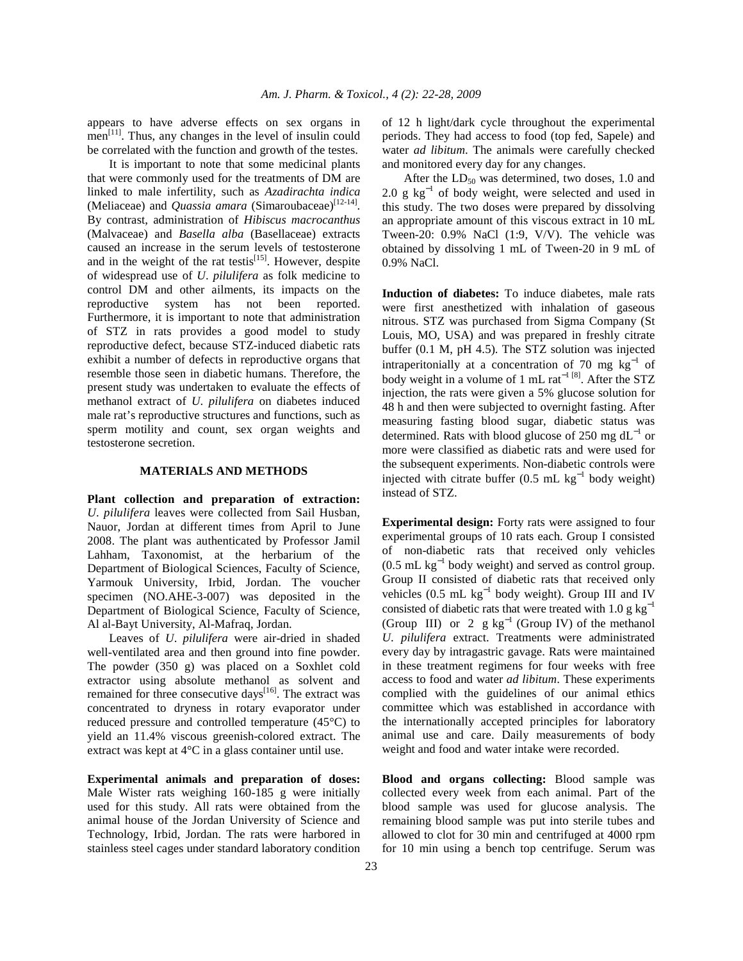appears to have adverse effects on sex organs in  $men<sup>[11]</sup>$ . Thus, any changes in the level of insulin could be correlated with the function and growth of the testes.

 It is important to note that some medicinal plants that were commonly used for the treatments of DM are linked to male infertility, such as *Azadirachta indica* (Meliaceae) and *Quassia amara* (Simaroubaceae)<sup>[12-14]</sup>. By contrast, administration of *Hibiscus macrocanthus* (Malvaceae) and *Basella alba* (Basellaceae) extracts caused an increase in the serum levels of testosterone and in the weight of the rat testis $^{[15]}$ . However, despite of widespread use of *U*. *pilulifera* as folk medicine to control DM and other ailments, its impacts on the reproductive system has not been reported. Furthermore, it is important to note that administration of STZ in rats provides a good model to study reproductive defect, because STZ-induced diabetic rats exhibit a number of defects in reproductive organs that resemble those seen in diabetic humans. Therefore, the present study was undertaken to evaluate the effects of methanol extract of *U*. *pilulifera* on diabetes induced male rat's reproductive structures and functions, such as sperm motility and count, sex organ weights and testosterone secretion.

### **MATERIALS AND METHODS**

**Plant collection and preparation of extraction:** *U*. *pilulifera* leaves were collected from Sail Husban, Nauor, Jordan at different times from April to June 2008. The plant was authenticated by Professor Jamil Lahham, Taxonomist, at the herbarium of the Department of Biological Sciences, Faculty of Science, Yarmouk University, Irbid, Jordan. The voucher specimen (NO.AHE-3-007) was deposited in the Department of Biological Science, Faculty of Science, Al al-Bayt University, Al-Mafraq, Jordan.

 Leaves of *U*. *pilulifera* were air-dried in shaded well-ventilated area and then ground into fine powder. The powder (350 g) was placed on a Soxhlet cold extractor using absolute methanol as solvent and remained for three consecutive days<sup>[16]</sup>. The extract was concentrated to dryness in rotary evaporator under reduced pressure and controlled temperature (45°C) to yield an 11.4% viscous greenish-colored extract. The extract was kept at 4°C in a glass container until use.

**Experimental animals and preparation of doses:** Male Wister rats weighing 160-185 g were initially used for this study. All rats were obtained from the animal house of the Jordan University of Science and Technology, Irbid, Jordan. The rats were harbored in stainless steel cages under standard laboratory condition of 12 h light/dark cycle throughout the experimental periods. They had access to food (top fed, Sapele) and water *ad libitum*. The animals were carefully checked and monitored every day for any changes.

After the  $LD_{50}$  was determined, two doses, 1.0 and 2.0 g  $kg^{-1}$  of body weight, were selected and used in this study. The two doses were prepared by dissolving an appropriate amount of this viscous extract in 10 mL Tween-20: 0.9% NaCl (1:9, V/V). The vehicle was obtained by dissolving 1 mL of Tween-20 in 9 mL of 0.9% NaCl.

**Induction of diabetes:** To induce diabetes, male rats were first anesthetized with inhalation of gaseous nitrous. STZ was purchased from Sigma Company (St Louis, MO, USA) and was prepared in freshly citrate buffer (0.1 M, pH 4.5). The STZ solution was injected intraperitonially at a concentration of 70 mg  $\text{kg}^{-1}$  of body weight in a volume of 1 mL rat<sup> $-1$  [8]</sup>. After the STZ injection, the rats were given a 5% glucose solution for 48 h and then were subjected to overnight fasting. After measuring fasting blood sugar, diabetic status was determined. Rats with blood glucose of 250 mg dL<sup>-1</sup> or more were classified as diabetic rats and were used for the subsequent experiments. Non-diabetic controls were injected with citrate buffer  $(0.5 \text{ mL kg}^{-1})$  body weight) instead of STZ.

**Experimental design:** Forty rats were assigned to four experimental groups of 10 rats each. Group I consisted of non-diabetic rats that received only vehicles  $(0.5 \text{ mL kg}^{-1}$  body weight) and served as control group. Group II consisted of diabetic rats that received only vehicles  $(0.5 \text{ mL kg}^{-1}$  body weight). Group III and IV consisted of diabetic rats that were treated with 1.0 g  $kg^{-1}$ (Group III) or 2  $g kg^{-1}$  (Group IV) of the methanol *U*. *pilulifera* extract. Treatments were administrated every day by intragastric gavage. Rats were maintained in these treatment regimens for four weeks with free access to food and water *ad libitum*. These experiments complied with the guidelines of our animal ethics committee which was established in accordance with the internationally accepted principles for laboratory animal use and care. Daily measurements of body weight and food and water intake were recorded.

**Blood and organs collecting:** Blood sample was collected every week from each animal. Part of the blood sample was used for glucose analysis. The remaining blood sample was put into sterile tubes and allowed to clot for 30 min and centrifuged at 4000 rpm for 10 min using a bench top centrifuge. Serum was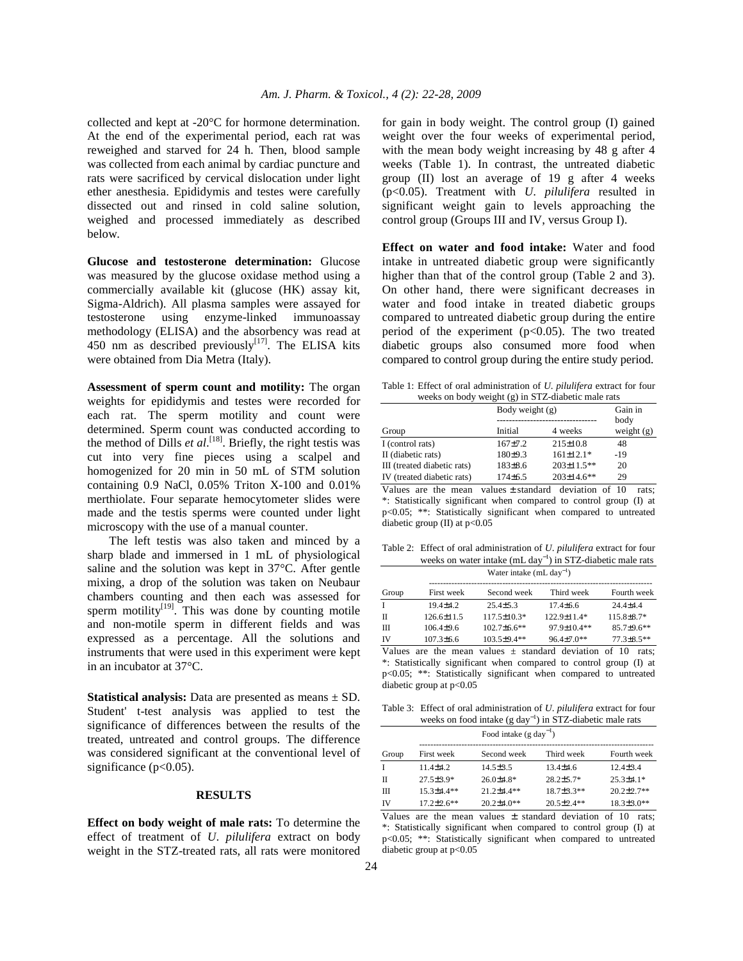collected and kept at -20°C for hormone determination. At the end of the experimental period, each rat was reweighed and starved for 24 h. Then, blood sample was collected from each animal by cardiac puncture and rats were sacrificed by cervical dislocation under light ether anesthesia. Epididymis and testes were carefully dissected out and rinsed in cold saline solution, weighed and processed immediately as described below.

**Glucose and testosterone determination:** Glucose was measured by the glucose oxidase method using a commercially available kit (glucose (HK) assay kit, Sigma-Aldrich). All plasma samples were assayed for testosterone using enzyme-linked immunoassay methodology (ELISA) and the absorbency was read at 450 nm as described previously $^{[17]}$ . The ELISA kits were obtained from Dia Metra (Italy).

**Assessment of sperm count and motility:** The organ weights for epididymis and testes were recorded for each rat. The sperm motility and count were determined. Sperm count was conducted according to the method of Dills *et al.*<sup>[18]</sup>. Briefly, the right testis was cut into very fine pieces using a scalpel and homogenized for 20 min in 50 mL of STM solution containing 0.9 NaCl, 0.05% Triton X-100 and 0.01% merthiolate. Four separate hemocytometer slides were made and the testis sperms were counted under light microscopy with the use of a manual counter.

 The left testis was also taken and minced by a sharp blade and immersed in 1 mL of physiological saline and the solution was kept in 37°C. After gentle mixing, a drop of the solution was taken on Neubaur chambers counting and then each was assessed for sperm motility<sup>[19]</sup>. This was done by counting motile and non-motile sperm in different fields and was expressed as a percentage. All the solutions and instruments that were used in this experiment were kept in an incubator at 37°C.

**Statistical analysis:** Data are presented as means ± SD. Student' t-test analysis was applied to test the significance of differences between the results of the treated, untreated and control groups. The difference was considered significant at the conventional level of significance  $(p<0.05)$ .

### **RESULTS**

**Effect on body weight of male rats:** To determine the effect of treatment of *U*. *pilulifera* extract on body weight in the STZ-treated rats, all rats were monitored for gain in body weight. The control group (I) gained weight over the four weeks of experimental period, with the mean body weight increasing by 48 g after 4 weeks (Table 1). In contrast, the untreated diabetic group (II) lost an average of 19 g after 4 weeks (p<0.05). Treatment with *U*. *pilulifera* resulted in significant weight gain to levels approaching the control group (Groups III and IV, versus Group I).

**Effect on water and food intake:** Water and food intake in untreated diabetic group were significantly higher than that of the control group (Table 2 and 3). On other hand, there were significant decreases in water and food intake in treated diabetic groups compared to untreated diabetic group during the entire period of the experiment  $(p<0.05)$ . The two treated diabetic groups also consumed more food when compared to control group during the entire study period.

Table 1: Effect of oral administration of *U*. *pilulifera* extract for four weeks on body weight (g) in STZ-diabetic male rats

|                             |             | Body weight $(g)$ |                      |
|-----------------------------|-------------|-------------------|----------------------|
| Group                       | Initial     | 4 weeks           | body<br>weight $(g)$ |
| I (control rats)            | $167 + 7.2$ | $215 \pm 10.8$    | 48                   |
| II (diabetic rats)          | 180±9.3     | $161 \pm 12.1*$   | $-19$                |
| III (treated diabetic rats) | $183\pm8.6$ | $203 \pm 11.5$ ** | 20                   |
| IV (treated diabetic rats)  | $174+6.5$   | $203 \pm 14.6$ ** | 29                   |

Values are the mean values  $\pm$  standard deviation of 10 rats; \*: Statistically significant when compared to control group (I) at p<0.05; \*\*: Statistically significant when compared to untreated diabetic group  $(II)$  at  $p<0.05$ 

Table 2: Effect of oral administration of *U*. *pilulifera* extract for four weeks on water intake (mL day<sup>-1</sup>) in STZ-diabetic male rats

|       | Water intake $(mL \, \text{day}^{-1})$ |                    |                  |                   |  |
|-------|----------------------------------------|--------------------|------------------|-------------------|--|
| Group | First week                             | Second week        | Third week       | Fourth week       |  |
|       | $19.4 + 4.2$                           | $25.4 + 5.3$       | $17.4 + 6.6$     | $24.4 + 4.4$      |  |
| П     | $126.6 \pm 11.5$                       | $117.5 \pm 10.3*$  | $122.9 + 11.4*$  | $115.8 + 8.7*$    |  |
| Ш     | $106.4 + 9.6$                          | $102.7 \pm 6.6$ ** | $97.9 + 10.4$ ** | $85.7 \pm 9.6$ ** |  |
| IV    | $107.3 \pm 6.6$                        | $103.5 + 9.4**$    | $96.4 + 7.0**$   | $77.3 + 8.5$ **   |  |

Values are the mean values  $\pm$  standard deviation of 10 rats; \*: Statistically significant when compared to control group (I) at p<0.05; \*\*: Statistically significant when compared to untreated diabetic group at p<0.05

Table 3: Effect of oral administration of *U*. *pilulifera* extract for four weeks on food intake (g day<sup>-1</sup>) in STZ-diabetic male rats

|              |                   |                   | Food intake $(g \text{ day}^{-1})$ |                   |  |
|--------------|-------------------|-------------------|------------------------------------|-------------------|--|
| Group        | First week        | Second week       | Third week                         | Fourth week       |  |
| $\mathbf{I}$ | $114+42$          | $14.5 \pm 3.5$    | $13.4 \pm 4.6$                     | $12.4 + 3.4$      |  |
| $_{\rm II}$  | $27.5 + 3.9*$     | $26.0 \pm 4.8*$   | $28.2 + 5.7*$                      | $25.3 \pm 4.1*$   |  |
| Ш            | $15.3 \pm 4.4**$  | $212+44$ **       | $18.7 \pm 3.3**$                   | $20.2 \pm 2.7$ ** |  |
| IV           | $17.2 \pm 2.6$ ** | $20.2 \pm 4.0$ ** | $20.5 \pm 2.4$ **                  | $18.3 \pm 3.0**$  |  |

Values are the mean values  $\pm$  standard deviation of 10 rats; \*: Statistically significant when compared to control group (I) at p<0.05; \*\*: Statistically significant when compared to untreated diabetic group at  $p<0.05$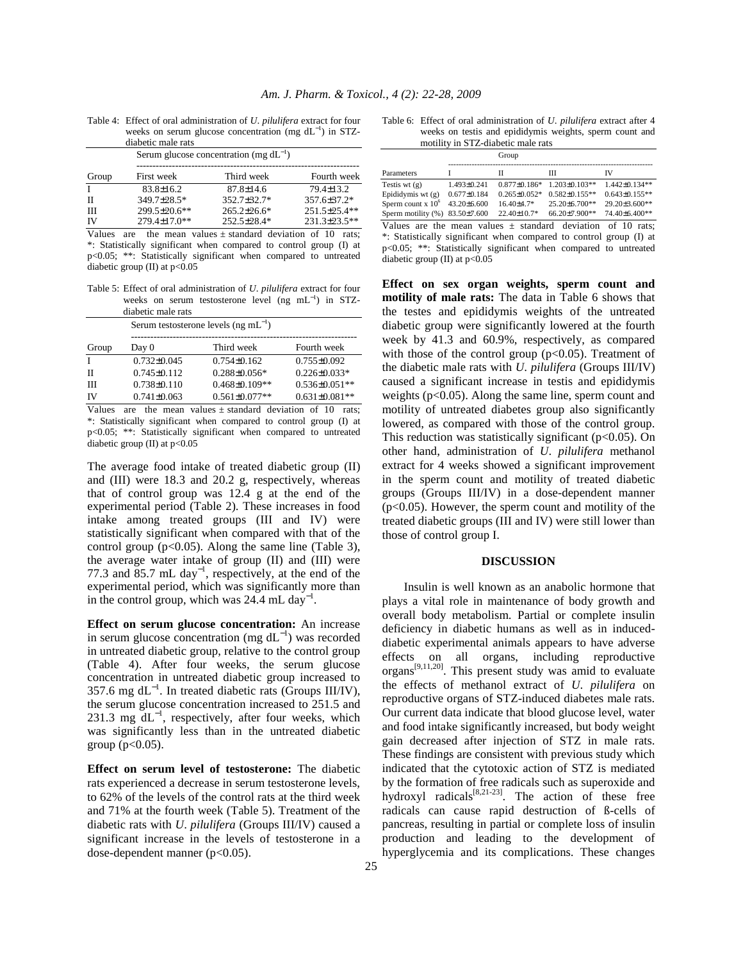|              | diabetic male rats | weeks on serum glucose concentration (mg $dL^{-1}$ ) in STZ- |                 |
|--------------|--------------------|--------------------------------------------------------------|-----------------|
|              |                    | Serum glucose concentration (mg $dL^{-1}$ )                  |                 |
| Group        | First week         | Third week                                                   | Fourth week     |
| $\mathbf{I}$ | $83.8 \pm 16.2$    | $87.8 \pm 14.6$                                              | $79.4 \pm 13.2$ |
| $_{\rm II}$  | 349.7±28.5*        | 352.7+32.7*                                                  | 357.6±37.2*     |
| $\mathbf{H}$ | 299.5±20.6**       | $265.2 \pm 26.6^*$                                           | 251.5±25.4**    |
| IV           | 279.4±17.0**       | 252.5±28.4*                                                  | 231.3±23.5**    |

Table 4: Effect of oral administration of *U*. *pilulifera* extract for four weeks on serum glucose concentration (mg dL<sup>-1</sup> ) in STZ-

Values are the mean values  $\pm$  standard deviation of 10 rats; \*: Statistically significant when compared to control group (I) at p<0.05; \*\*: Statistically significant when compared to untreated diabetic group (II) at  $p<0.05$ 

Table 5: Effect of oral administration of *U*. *pilulifera* extract for four weeks on serum testosterone level (ng mL<sup>-1</sup>) in STZdiabetic male rats

|       | Serum testosterone levels $(ng mL^{-1})$ |                      |                      |  |
|-------|------------------------------------------|----------------------|----------------------|--|
| Group | Day 0                                    | Third week           | Fourth week          |  |
| Т     | $0.732 \pm 0.045$                        | $0.754\pm0.162$      | $0.755 \pm 0.092$    |  |
| Н     | $0.745 \pm 0.112$                        | $0.288 \pm 0.056*$   | $0.226 \pm 0.033*$   |  |
| Ш     | $0.738 \pm 0.110$                        | $0.468 \pm 0.109$ ** | $0.536 \pm 0.051$ ** |  |
| IV    | $0.741\pm0.063$                          | $0.561 \pm 0.077**$  | $0.631 \pm 0.081**$  |  |

Values are the mean values  $\pm$  standard deviation of 10 rats; \*: Statistically significant when compared to control group (I) at p<0.05; \*\*: Statistically significant when compared to untreated diabetic group (II) at p<0.05

The average food intake of treated diabetic group (II) and (III) were 18.3 and 20.2 g, respectively, whereas that of control group was 12.4 g at the end of the experimental period (Table 2). These increases in food intake among treated groups (III and IV) were statistically significant when compared with that of the control group ( $p<0.05$ ). Along the same line (Table 3), the average water intake of group (II) and (III) were 77.3 and 85.7 mL day<sup>-1</sup>, respectively, at the end of the experimental period, which was significantly more than in the control group, which was  $24.4$  mL day<sup>-1</sup>.

**Effect on serum glucose concentration:** An increase in serum glucose concentration (mg  $dL^{-1}$ ) was recorded in untreated diabetic group, relative to the control group (Table 4). After four weeks, the serum glucose concentration in untreated diabetic group increased to 357.6 mg dL<sup>−</sup><sup>1</sup> . In treated diabetic rats (Groups III/IV), the serum glucose concentration increased to 251.5 and 231.3 mg  $dL^{-1}$ , respectively, after four weeks, which was significantly less than in the untreated diabetic group ( $p < 0.05$ ).

**Effect on serum level of testosterone:** The diabetic rats experienced a decrease in serum testosterone levels, to 62% of the levels of the control rats at the third week and 71% at the fourth week (Table 5). Treatment of the diabetic rats with *U*. *pilulifera* (Groups III/IV) caused a significant increase in the levels of testosterone in a dose-dependent manner (p<0.05).

| Table 6: Effect of oral administration of <i>U. pilulifera</i> extract after 4 |
|--------------------------------------------------------------------------------|
| weeks on test is and epididymis weights, sperm count and                       |
| motility in STZ-diabetic male rats                                             |

|                                                                     |                   | Group              |                     |                     |
|---------------------------------------------------------------------|-------------------|--------------------|---------------------|---------------------|
|                                                                     |                   |                    |                     |                     |
| Parameters                                                          |                   | П                  | Ш                   | IV                  |
| Testis wt $(g)$                                                     | $1.493 \pm 0.241$ | $0.877 + 0.186*$   | $1.203 + 0.103**$   | $1.442+0.134**$     |
| Epididymis wt $(g)$                                                 | $0.677 \pm 0.184$ | $0.265 \pm 0.052*$ | $0.582 \pm 0.155**$ | $0.643 \pm 0.155**$ |
| Sperm count $x 10^{\circ}$                                          | $43.20 \pm 6.600$ | $16.40{\pm}4.7*$   | $25.20 + 6.700**$   | $29.20 \pm 3.600**$ |
| Sperm motility $(\% )$ 83.50±7.600                                  |                   | 22.40±10.7*        | 66.20±7.900**       | 74.40±6.400**       |
| Values are the mean values $\pm$ standard deviation of 10 rats;     |                   |                    |                     |                     |
| *: Statistically significant when compared to control group (I) at  |                   |                    |                     |                     |
| $p<0.05$ ; **: Statistically significant when compared to untreated |                   |                    |                     |                     |
| diabetic group (II) at $p<0.05$                                     |                   |                    |                     |                     |

**Effect on sex organ weights, sperm count and motility of male rats:** The data in Table 6 shows that the testes and epididymis weights of the untreated diabetic group were significantly lowered at the fourth week by 41.3 and 60.9%, respectively, as compared with those of the control group  $(p<0.05)$ . Treatment of the diabetic male rats with *U*. *pilulifera* (Groups III/IV) caused a significant increase in testis and epididymis weights  $(p<0.05)$ . Along the same line, sperm count and motility of untreated diabetes group also significantly lowered, as compared with those of the control group. This reduction was statistically significant ( $p<0.05$ ). On other hand, administration of *U*. *pilulifera* methanol extract for 4 weeks showed a significant improvement in the sperm count and motility of treated diabetic groups (Groups III/IV) in a dose-dependent manner (p<0.05). However, the sperm count and motility of the treated diabetic groups (III and IV) were still lower than those of control group I.

# **DISCUSSION**

 Insulin is well known as an anabolic hormone that plays a vital role in maintenance of body growth and overall body metabolism. Partial or complete insulin deficiency in diabetic humans as well as in induceddiabetic experimental animals appears to have adverse effects on all organs, including reproductive organs[9,11,20]. This present study was amid to evaluate the effects of methanol extract of *U*. *pilulifera* on reproductive organs of STZ-induced diabetes male rats. Our current data indicate that blood glucose level, water and food intake significantly increased, but body weight gain decreased after injection of STZ in male rats. These findings are consistent with previous study which indicated that the cytotoxic action of STZ is mediated by the formation of free radicals such as superoxide and hydroxyl radicals $[8,21-23]$ . The action of these free radicals can cause rapid destruction of ß-cells of pancreas, resulting in partial or complete loss of insulin production and leading to the development of hyperglycemia and its complications. These changes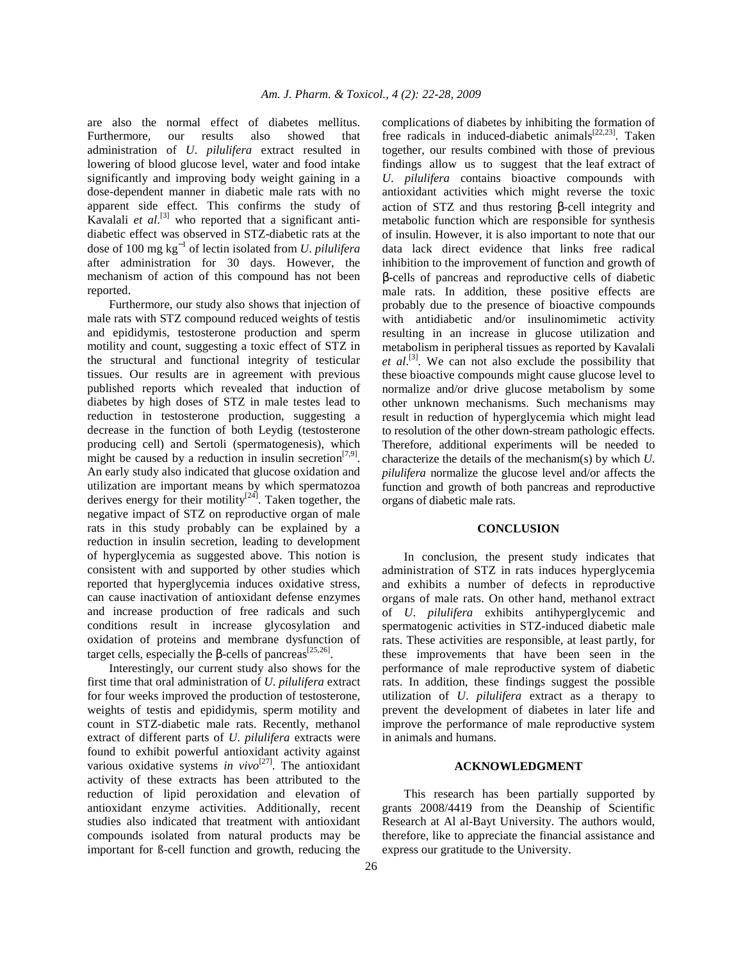are also the normal effect of diabetes mellitus. Furthermore, our results also showed that administration of *U*. *pilulifera* extract resulted in lowering of blood glucose level, water and food intake significantly and improving body weight gaining in a dose-dependent manner in diabetic male rats with no apparent side effect. This confirms the study of Kavalali et al.<sup>[3]</sup> who reported that a significant antidiabetic effect was observed in STZ-diabetic rats at the dose of 100 mg kg<sup>−</sup><sup>1</sup> of lectin isolated from *U*. *pilulifera* after administration for 30 days. However, the mechanism of action of this compound has not been reported.

 Furthermore, our study also shows that injection of male rats with STZ compound reduced weights of testis and epididymis, testosterone production and sperm motility and count, suggesting a toxic effect of STZ in the structural and functional integrity of testicular tissues. Our results are in agreement with previous published reports which revealed that induction of diabetes by high doses of STZ in male testes lead to reduction in testosterone production, suggesting a decrease in the function of both Leydig (testosterone producing cell) and Sertoli (spermatogenesis), which might be caused by a reduction in insulin secretion<sup>[7,9]</sup>. An early study also indicated that glucose oxidation and utilization are important means by which spermatozoa derives energy for their motility $[24]$ . Taken together, the negative impact of STZ on reproductive organ of male rats in this study probably can be explained by a reduction in insulin secretion, leading to development of hyperglycemia as suggested above. This notion is consistent with and supported by other studies which reported that hyperglycemia induces oxidative stress, can cause inactivation of antioxidant defense enzymes and increase production of free radicals and such conditions result in increase glycosylation and oxidation of proteins and membrane dysfunction of target cells, especially the  $\beta$ -cells of pancreas<sup>[25,26]</sup>.

 Interestingly, our current study also shows for the first time that oral administration of *U*. *pilulifera* extract for four weeks improved the production of testosterone, weights of testis and epididymis, sperm motility and count in STZ-diabetic male rats. Recently, methanol extract of different parts of *U*. *pilulifera* extracts were found to exhibit powerful antioxidant activity against various oxidative systems *in vivo*<sup>[27]</sup>. The antioxidant activity of these extracts has been attributed to the reduction of lipid peroxidation and elevation of antioxidant enzyme activities. Additionally, recent studies also indicated that treatment with antioxidant compounds isolated from natural products may be important for ß-cell function and growth, reducing the

complications of diabetes by inhibiting the formation of free radicals in induced-diabetic animals<sup>[22,23]</sup>. Taken together, our results combined with those of previous findings allow us to suggest that the leaf extract of *U*. *pilulifera* contains bioactive compounds with antioxidant activities which might reverse the toxic action of STZ and thus restoring β-cell integrity and metabolic function which are responsible for synthesis of insulin. However, it is also important to note that our data lack direct evidence that links free radical inhibition to the improvement of function and growth of β-cells of pancreas and reproductive cells of diabetic male rats. In addition, these positive effects are probably due to the presence of bioactive compounds with antidiabetic and/or insulinomimetic activity resulting in an increase in glucose utilization and metabolism in peripheral tissues as reported by Kavalali et al.<sup>[3]</sup>. We can not also exclude the possibility that these bioactive compounds might cause glucose level to normalize and/or drive glucose metabolism by some other unknown mechanisms. Such mechanisms may result in reduction of hyperglycemia which might lead to resolution of the other down-stream pathologic effects. Therefore, additional experiments will be needed to characterize the details of the mechanism(s) by which *U*. *pilulifera* normalize the glucose level and/or affects the function and growth of both pancreas and reproductive organs of diabetic male rats.

#### **CONCLUSION**

 In conclusion, the present study indicates that administration of STZ in rats induces hyperglycemia and exhibits a number of defects in reproductive organs of male rats. On other hand, methanol extract of *U*. *pilulifera* exhibits antihyperglycemic and spermatogenic activities in STZ-induced diabetic male rats. These activities are responsible, at least partly, for these improvements that have been seen in the performance of male reproductive system of diabetic rats. In addition, these findings suggest the possible utilization of *U*. *pilulifera* extract as a therapy to prevent the development of diabetes in later life and improve the performance of male reproductive system in animals and humans.

### **ACKNOWLEDGMENT**

 This research has been partially supported by grants 2008/4419 from the Deanship of Scientific Research at Al al-Bayt University. The authors would, therefore, like to appreciate the financial assistance and express our gratitude to the University.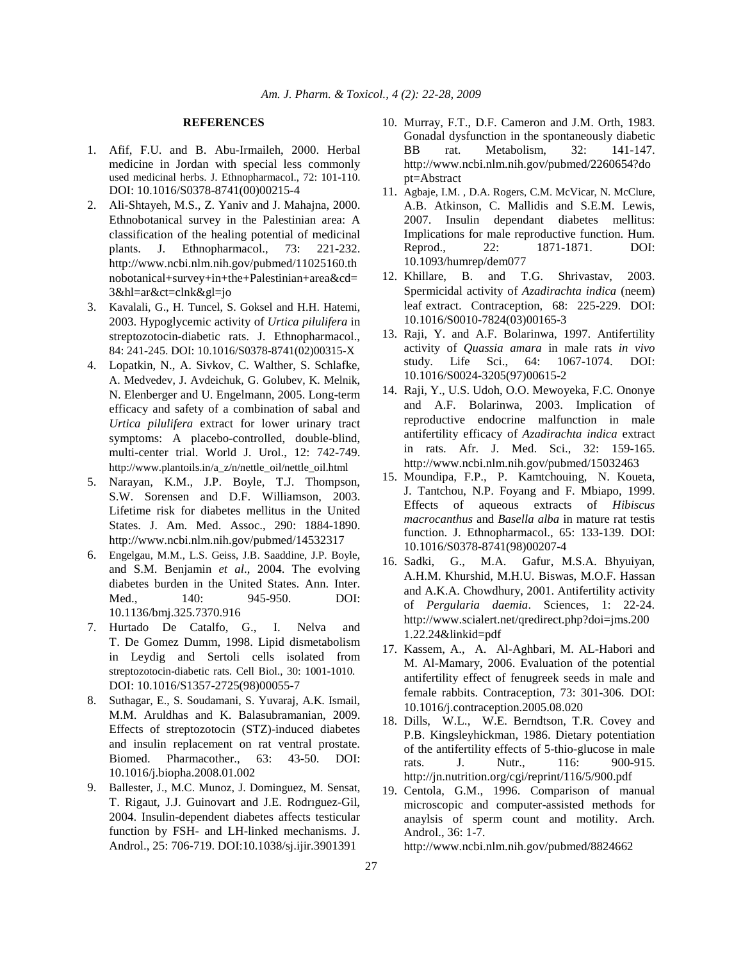#### **REFERENCES**

- 1. Afif, F.U. and B. Abu-Irmaileh, 2000. Herbal medicine in Jordan with special less commonly used medicinal herbs. J. Ethnopharmacol., 72: 101-110. DOI: 10.1016/S0378-8741(00)00215-4
- 2. Ali-Shtayeh, M.S., Z. Yaniv and J. Mahajna, 2000. Ethnobotanical survey in the Palestinian area: A classification of the healing potential of medicinal plants. J. Ethnopharmacol., 73: 221-232. http://www.ncbi.nlm.nih.gov/pubmed/11025160.th nobotanical+survey+in+the+Palestinian+area&cd= 3&hl=ar&ct=clnk&gl=jo
- 3. Kavalali, G., H. Tuncel, S. Goksel and H.H. Hatemi, 2003. Hypoglycemic activity of *Urtica pilulifera* in streptozotocin-diabetic rats. J. Ethnopharmacol., 84: 241-245. DOI: 10.1016/S0378-8741(02)00315-X
- 4. Lopatkin, N., A. Sivkov, C. Walther, S. Schlafke, A. Medvedev, J. Avdeichuk, G. Golubev, K. Melnik, N. Elenberger and U. Engelmann, 2005. Long-term efficacy and safety of a combination of sabal and *Urtica pilulifera* extract for lower urinary tract symptoms: A placebo-controlled, double-blind, multi-center trial. World J. Urol., 12: 742-749. http://www.plantoils.in/a\_z/n/nettle\_oil/nettle\_oil.html
- 5. Narayan, K.M., J.P. Boyle, T.J. Thompson, S.W. Sorensen and D.F. Williamson, 2003. Lifetime risk for diabetes mellitus in the United States. J. Am. Med. Assoc., 290: 1884-1890. http://www.ncbi.nlm.nih.gov/pubmed/14532317
- 6. Engelgau, M.M., L.S. Geiss, J.B. Saaddine, J.P. Boyle, and S.M. Benjamin *et al*., 2004. The evolving diabetes burden in the United States. Ann. Inter. Med., 140: 945-950. DOI: 10.1136/bmj.325.7370.916
- 7. Hurtado De Catalfo, G., I. Nelva and T. De Gomez Dumm, 1998. Lipid dismetabolism in Leydig and Sertoli cells isolated from streptozotocin-diabetic rats. Cell Biol., 30: 1001-1010. DOI: 10.1016/S1357-2725(98)00055-7
- 8. Suthagar, E., S. Soudamani, S. Yuvaraj, A.K. Ismail, M.M. Aruldhas and K. Balasubramanian, 2009. Effects of streptozotocin (STZ)-induced diabetes and insulin replacement on rat ventral prostate. Biomed. Pharmacother., 63: 43-50. DOI: 10.1016/j.biopha.2008.01.002
- 9. Ballester, J., M.C. Munoz, J. Dominguez, M. Sensat, T. Rigaut, J.J. Guinovart and J.E. Rodrıguez-Gil, 2004. Insulin-dependent diabetes affects testicular function by FSH- and LH-linked mechanisms. J. Androl., 25: 706-719. DOI:10.1038/sj.ijir.3901391
- 10. Murray, F.T., D.F. Cameron and J.M. Orth, 1983. Gonadal dysfunction in the spontaneously diabetic BB rat. Metabolism, 32: 141-147. http://www.ncbi.nlm.nih.gov/pubmed/2260654?do pt=Abstract
- 11. Agbaje, I.M. , D.A. Rogers, C.M. McVicar, N. McClure, A.B. Atkinson, C. Mallidis and S.E.M. Lewis, 2007. Insulin dependant diabetes mellitus: Implications for male reproductive function. Hum. Reprod., 22: 1871-1871. DOI: 10.1093/humrep/dem077
- 12. Khillare, B. and T.G. Shrivastav, 2003. Spermicidal activity of *Azadirachta indica* (neem) leaf extract. Contraception, 68: 225-229. DOI: 10.1016/S0010-7824(03)00165-3
- 13. Raji, Y. and A.F. Bolarinwa, 1997. Antifertility activity of *Quassia amara* in male rats *in vivo* study. Life Sci., 64: 1067-1074. DOI: 10.1016/S0024-3205(97)00615-2
- 14. Raji, Y., U.S. Udoh, O.O. Mewoyeka, F.C. Ononye and A.F. Bolarinwa, 2003. Implication of reproductive endocrine malfunction in male antifertility efficacy of *Azadirachta indica* extract in rats. Afr. J. Med. Sci., 32: 159-165. http://www.ncbi.nlm.nih.gov/pubmed/15032463
- 15. Moundipa, F.P., P. Kamtchouing, N. Koueta, J. Tantchou, N.P. Foyang and F. Mbiapo, 1999. Effects of aqueous extracts of *Hibiscus macrocanthus* and *Basella alba* in mature rat testis function. J. Ethnopharmacol., 65: 133-139. DOI: 10.1016/S0378-8741(98)00207-4
- 16. Sadki, G., M.A. Gafur, M.S.A. Bhyuiyan, A.H.M. Khurshid, M.H.U. Biswas, M.O.F. Hassan and A.K.A. Chowdhury, 2001. Antifertility activity of *Pergularia daemia*. Sciences, 1: 22-24. http://www.scialert.net/qredirect.php?doi=jms.200 1.22.24&linkid=pdf
- 17. Kassem, A., A. Al-Aghbari, M. AL-Habori and M. Al-Mamary, 2006. Evaluation of the potential antifertility effect of fenugreek seeds in male and female rabbits. Contraception, 73: 301-306. DOI: 10.1016/j.contraception.2005.08.020
- 18. Dills, W.L., W.E. Berndtson, T.R. Covey and P.B. Kingsleyhickman, 1986. Dietary potentiation of the antifertility effects of 5-thio-glucose in male rats. J. Nutr., 116: 900-915. http://jn.nutrition.org/cgi/reprint/116/5/900.pdf
- 19. Centola, G.M., 1996. Comparison of manual microscopic and computer-assisted methods for anaylsis of sperm count and motility. Arch. Androl., 36: 1-7.

http://www.ncbi.nlm.nih.gov/pubmed/8824662